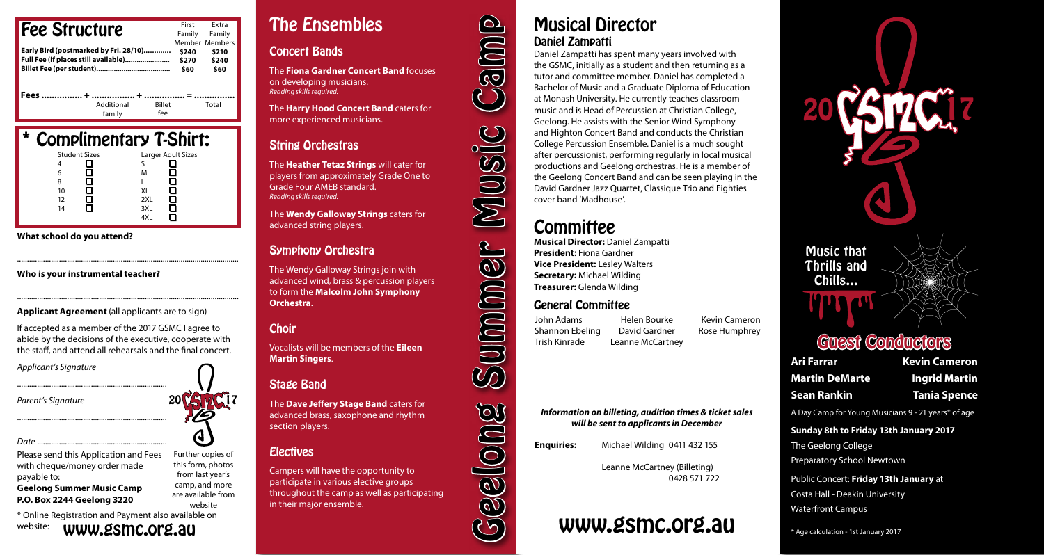| <b>Fee Structure</b>                                                          |                      |                                                       | First<br>Family        | Extra<br>Family<br>Member Members |
|-------------------------------------------------------------------------------|----------------------|-------------------------------------------------------|------------------------|-----------------------------------|
| Early Bird (postmarked by Fri. 28/10)<br>Full Fee (if places still available) |                      | \$240<br>\$270<br>\$60                                | \$210<br>\$240<br>\$60 |                                   |
|                                                                               | Additional<br>family | <b>Billet</b><br>fee                                  |                        | Total                             |
| <b>Complimentary T-Shirt:</b>                                                 |                      |                                                       |                        |                                   |
| <b>Student Sizes</b><br>4<br>6<br>8<br>10<br>12<br>14                         |                      | Larger Adult Sizes<br>ς<br>м<br>L<br>ΧI<br>2X1<br>3XL |                        |                                   |

3XL 4XL

 $\Box$ 

**What school do you attend?**

**Who is your instrumental teacher?**

**Applicant Agreement** (all applicants are to sign)

If accepted as a member of the 2017 GSMC I agree to abide by the decisions of the executive, cooperate with the staff, and attend all rehearsals and the final concert.

...............................................................................................................

...............................................................................................................

*Applicant's Signature*

*Parent's Signature*



Further copies of this form, photos from last year's camp, and more

website

Please send this Application and Fees with cheque/money order made payable to: **Geelong Summer Music Camp** are available from

**P.O. Box 2244 Geelong 3220**

\* Online Registration and Payment also available on website: www.gsmc.org.au

## The Ensembles

## Concert Bands

The **Fiona Gardner Concert Band** focuses on developing musicians. *Reading skills required.*

The **Harry Hood Concert Band** caters for more experienced musicians.

## String Orchestras

The **Heather Tetaz Strings** will cater for players from approximately Grade One to Grade Four AMEB standard. *Reading skills required.*

The **Wendy Galloway Strings** caters for advanced string players.

## Symphony Orchestra

The Wendy Galloway Strings join with advanced wind, brass & percussion players to form the **Malcolm John Symphony Orchestra**.

## **Choir**

Vocalists will be members of the **Eileen Martin Singers**.

## Stage Band

The **Dave Jeffery Stage Band** caters for advanced brass, saxophone and rhythm section players.

## **Electives**

Campers will have the opportunity to participate in various elective groups throughout the camp as well as participating in their major ensemble.

## Musical Director Daniel Zampatti

Daniel Zampatti has spent many years involved with the GSMC, initially as a student and then returning as a tutor and committee member. Daniel has completed a Bachelor of Music and a Graduate Diploma of Education at Monash University. He currently teaches classroom music and is Head of Percussion at Christian College, Geelong. He assists with the Senior Wind Symphony and Highton Concert Band and conducts the Christian College Percussion Ensemble. Daniel is a much sought after percussionist, performing regularly in local musical productions and Geelong orchestras. He is a member of the Geelong Concert Band and can be seen playing in the David Gardner Jazz Quartet, Classique Trio and Eighties cover band 'Madhouse'.

## **Committee**

**Musical Director:** Daniel Zampatti **President:** Fiona Gardner **Vice President:** Lesley Walters **Secretary:** Michael Wilding **Treasurer:** Glenda Wilding

## General Committee

Geelong Summer Music Camp

Summe

20003

 $\mathcal{S}$ 

کے

Music

 $C$ amp

John Adams Shannon Ebeling Trish Kinrade Helen Bourke David Gardner Leanne McCartney

*Information on billeting, audition times & ticket sales will be sent to applicants in December*

**Enquiries:** Michael Wilding 0411 432 155

 Leanne McCartney (Billeting) 0428 571 722

Kevin Cameron Rose Humphrey

# www.gsmc.org.au





**Ari Farrar Kevin Cameron**

**Martin DeMarte Ingrid Martin Sean Rankin Tania Spence**

A Day Camp for Young Musicians 9 - 21 years\* of age

**Sunday 8th to Friday 13th January 2017**

The Geelong College

Preparatory School Newtown

Public Concert: **Friday 13th January** at Costa Hall - Deakin University Waterfront Campus

\* Age calculation - 1st January 2017